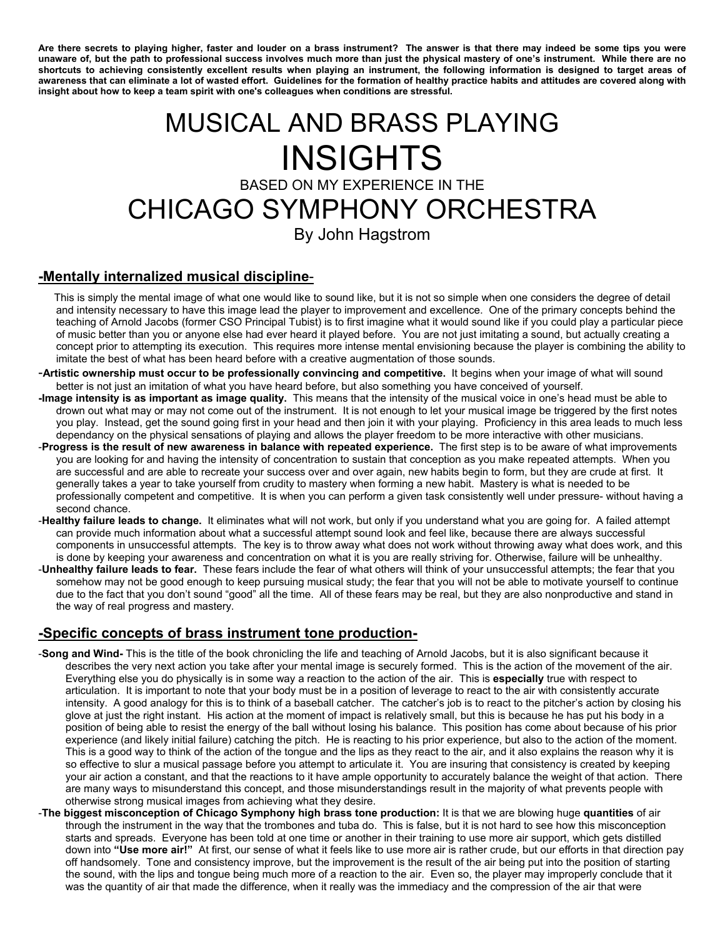**Are there secrets to playing higher, faster and louder on a brass instrument? The answer is that there may indeed be some tips you were unaware of, but the path to professional success involves much more than just the physical mastery of one's instrument. While there are no shortcuts to achieving consistently excellent results when playing an instrument, the following information is designed to target areas of awareness that can eliminate a lot of wasted effort. Guidelines for the formation of healthy practice habits and attitudes are covered along with insight about how to keep a team spirit with one's colleagues when conditions are stressful.** 

# MUSICAL AND BRASS PLAYING **INSIGHTS** BASED ON MY EXPERIENCE IN THE CHICAGO SYMPHONY ORCHESTRA By John Hagstrom

#### **-Mentally internalized musical discipline**-

- This is simply the mental image of what one would like to sound like, but it is not so simple when one considers the degree of detail and intensity necessary to have this image lead the player to improvement and excellence. One of the primary concepts behind the teaching of Arnold Jacobs (former CSO Principal Tubist) is to first imagine what it would sound like if you could play a particular piece of music better than you or anyone else had ever heard it played before. You are not just imitating a sound, but actually creating a concept prior to attempting its execution. This requires more intense mental envisioning because the player is combining the ability to imitate the best of what has been heard before with a creative augmentation of those sounds.
- -**Artistic ownership must occur to be professionally convincing and competitive.** It begins when your image of what will sound better is not just an imitation of what you have heard before, but also something you have conceived of yourself.
- **-Image intensity is as important as image quality.** This means that the intensity of the musical voice in one's head must be able to drown out what may or may not come out of the instrument. It is not enough to let your musical image be triggered by the first notes you play. Instead, get the sound going first in your head and then join it with your playing. Proficiency in this area leads to much less dependancy on the physical sensations of playing and allows the player freedom to be more interactive with other musicians.
- -**Progress is the result of new awareness in balance with repeated experience.** The first step is to be aware of what improvements you are looking for and having the intensity of concentration to sustain that conception as you make repeated attempts. When you are successful and are able to recreate your success over and over again, new habits begin to form, but they are crude at first. It generally takes a year to take yourself from crudity to mastery when forming a new habit. Mastery is what is needed to be professionally competent and competitive. It is when you can perform a given task consistently well under pressure- without having a second chance.
- -**Healthy failure leads to change.** It eliminates what will not work, but only if you understand what you are going for. A failed attempt can provide much information about what a successful attempt sound look and feel like, because there are always successful components in unsuccessful attempts. The key is to throw away what does not work without throwing away what does work, and this is done by keeping your awareness and concentration on what it is you are really striving for. Otherwise, failure will be unhealthy.
- -**Unhealthy failure leads to fear.** These fears include the fear of what others will think of your unsuccessful attempts; the fear that you somehow may not be good enough to keep pursuing musical study; the fear that you will not be able to motivate yourself to continue due to the fact that you don't sound "good" all the time. All of these fears may be real, but they are also nonproductive and stand in the way of real progress and mastery.

## **-Specific concepts of brass instrument tone production-**

- -**Song and Wind-** This is the title of the book chronicling the life and teaching of Arnold Jacobs, but it is also significant because it describes the very next action you take after your mental image is securely formed. This is the action of the movement of the air. Everything else you do physically is in some way a reaction to the action of the air. This is **especially** true with respect to articulation. It is important to note that your body must be in a position of leverage to react to the air with consistently accurate intensity. A good analogy for this is to think of a baseball catcher. The catcher's job is to react to the pitcher's action by closing his glove at just the right instant. His action at the moment of impact is relatively small, but this is because he has put his body in a position of being able to resist the energy of the ball without losing his balance. This position has come about because of his prior experience (and likely initial failure) catching the pitch. He is reacting to his prior experience, but also to the action of the moment. This is a good way to think of the action of the tongue and the lips as they react to the air, and it also explains the reason why it is so effective to slur a musical passage before you attempt to articulate it. You are insuring that consistency is created by keeping your air action a constant, and that the reactions to it have ample opportunity to accurately balance the weight of that action. There are many ways to misunderstand this concept, and those misunderstandings result in the majority of what prevents people with otherwise strong musical images from achieving what they desire.
- -**The biggest misconception of Chicago Symphony high brass tone production:** It is that we are blowing huge **quantities** of air through the instrument in the way that the trombones and tuba do. This is false, but it is not hard to see how this misconception starts and spreads. Everyone has been told at one time or another in their training to use more air support, which gets distilled down into **"Use more air!"** At first, our sense of what it feels like to use more air is rather crude, but our efforts in that direction pay off handsomely. Tone and consistency improve, but the improvement is the result of the air being put into the position of starting the sound, with the lips and tongue being much more of a reaction to the air. Even so, the player may improperly conclude that it was the quantity of air that made the difference, when it really was the immediacy and the compression of the air that were